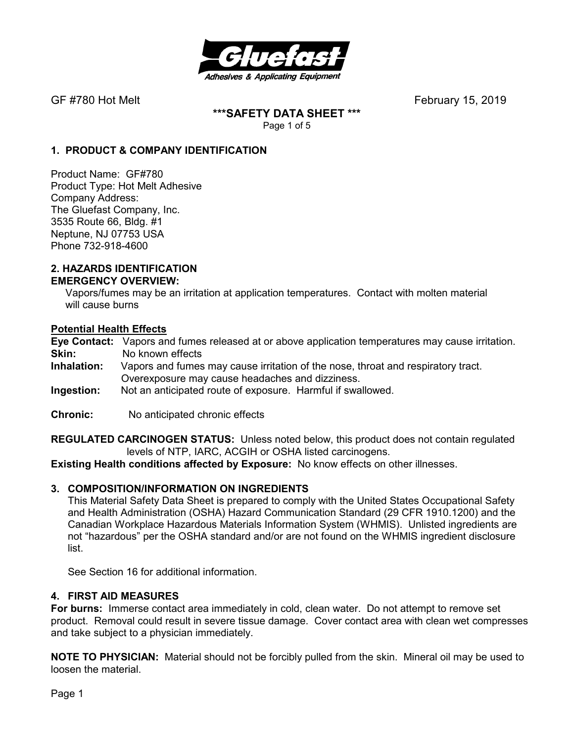

**\*\*\*SAFETY DATA SHEET \*\*\***  Page 1 of 5

### **1. PRODUCT & COMPANY IDENTIFICATION**

Product Name: GF#780 Product Type: Hot Melt Adhesive Company Address: The Gluefast Company, Inc. 3535 Route 66, Bldg. #1 Neptune, NJ 07753 USA Phone 732-918-4600

#### **2. HAZARDS IDENTIFICATION EMERGENCY OVERVIEW:**

 Vapors/fumes may be an irritation at application temperatures. Contact with molten material will cause burns

#### **Potential Health Effects**

**Eye Contact:** Vapors and fumes released at or above application temperatures may cause irritation. **Skin:** No known effects<br>**Inhalation:** Vapors and fumes

- Vapors and fumes may cause irritation of the nose, throat and respiratory tract. Overexposure may cause headaches and dizziness.
- **Ingestion:** Not an anticipated route of exposure. Harmful if swallowed.
- **Chronic:** No anticipated chronic effects

**REGULATED CARCINOGEN STATUS:** Unless noted below, this product does not contain regulated levels of NTP, IARC, ACGIH or OSHA listed carcinogens.

**Existing Health conditions affected by Exposure:** No know effects on other illnesses.

#### **3. COMPOSITION/INFORMATION ON INGREDIENTS**

This Material Safety Data Sheet is prepared to comply with the United States Occupational Safety and Health Administration (OSHA) Hazard Communication Standard (29 CFR 1910.1200) and the Canadian Workplace Hazardous Materials Information System (WHMIS). Unlisted ingredients are not "hazardous" per the OSHA standard and/or are not found on the WHMIS ingredient disclosure list.

See Section 16 for additional information.

#### **4. FIRST AID MEASURES**

**For burns:** Immerse contact area immediately in cold, clean water. Do not attempt to remove set product. Removal could result in severe tissue damage. Cover contact area with clean wet compresses and take subject to a physician immediately.

**NOTE TO PHYSICIAN:** Material should not be forcibly pulled from the skin. Mineral oil may be used to loosen the material.

Page 1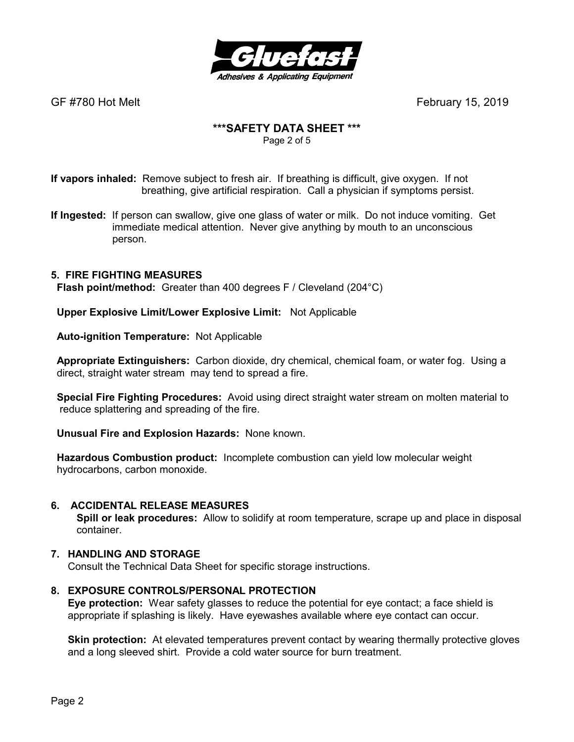

# **\*\*\*SAFETY DATA SHEET \*\*\***

Page 2 of 5

**If vapors inhaled:** Remove subject to fresh air. If breathing is difficult, give oxygen. If not breathing, give artificial respiration. Call a physician if symptoms persist.

**If Ingested:** If person can swallow, give one glass of water or milk. Do not induce vomiting. Get immediate medical attention. Never give anything by mouth to an unconscious person.

# **5. FIRE FIGHTING MEASURES**

 **Flash point/method:** Greater than 400 degrees F / Cleveland (204°C)

 **Upper Explosive Limit/Lower Explosive Limit:** Not Applicable

 **Auto-ignition Temperature:** Not Applicable

 **Appropriate Extinguishers:** Carbon dioxide, dry chemical, chemical foam, or water fog. Using a direct, straight water stream may tend to spread a fire.

 **Special Fire Fighting Procedures:** Avoid using direct straight water stream on molten material to reduce splattering and spreading of the fire.

 **Unusual Fire and Explosion Hazards:** None known.

 **Hazardous Combustion product:** Incomplete combustion can yield low molecular weight hydrocarbons, carbon monoxide.

#### **6. ACCIDENTAL RELEASE MEASURES**

 **Spill or leak procedures:** Allow to solidify at room temperature, scrape up and place in disposal container.

#### **7. HANDLING AND STORAGE**

Consult the Technical Data Sheet for specific storage instructions.

#### **8. EXPOSURE CONTROLS/PERSONAL PROTECTION**

**Eye protection:** Wear safety glasses to reduce the potential for eye contact; a face shield is appropriate if splashing is likely. Have eyewashes available where eye contact can occur.

**Skin protection:** At elevated temperatures prevent contact by wearing thermally protective gloves and a long sleeved shirt. Provide a cold water source for burn treatment.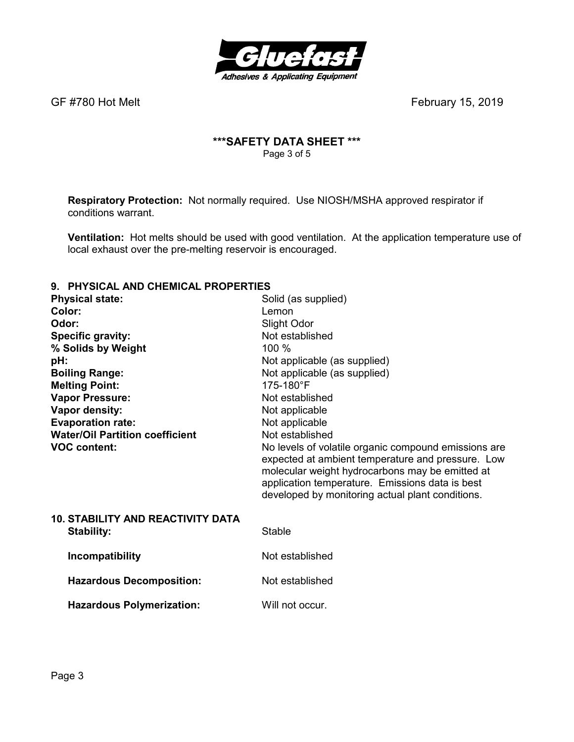

# **\*\*\*SAFETY DATA SHEET \*\*\***  Page 3 of 5

**Respiratory Protection:** Not normally required.Use NIOSH/MSHA approved respirator if conditions warrant.

**Ventilation:** Hot melts should be used with good ventilation. At the application temperature use of local exhaust over the pre-melting reservoir is encouraged.

#### **9. PHYSICAL AND CHEMICAL PROPERTIES**

| <b>Physical state:</b>                   | Solid (as supplied)                                                                                                                                                                                                                                                 |
|------------------------------------------|---------------------------------------------------------------------------------------------------------------------------------------------------------------------------------------------------------------------------------------------------------------------|
| Color:                                   | Lemon                                                                                                                                                                                                                                                               |
| Odor:                                    | Slight Odor                                                                                                                                                                                                                                                         |
| Specific gravity:                        | Not established                                                                                                                                                                                                                                                     |
| % Solids by Weight                       | 100 %                                                                                                                                                                                                                                                               |
| pH:                                      | Not applicable (as supplied)                                                                                                                                                                                                                                        |
| <b>Boiling Range:</b>                    | Not applicable (as supplied)                                                                                                                                                                                                                                        |
| <b>Melting Point:</b>                    | 175-180°F                                                                                                                                                                                                                                                           |
| <b>Vapor Pressure:</b>                   | Not established                                                                                                                                                                                                                                                     |
| Vapor density:                           | Not applicable                                                                                                                                                                                                                                                      |
| <b>Evaporation rate:</b>                 | Not applicable                                                                                                                                                                                                                                                      |
| <b>Water/Oil Partition coefficient</b>   | Not established                                                                                                                                                                                                                                                     |
| <b>VOC content:</b>                      | No levels of volatile organic compound emissions are<br>expected at ambient temperature and pressure. Low<br>molecular weight hydrocarbons may be emitted at<br>application temperature. Emissions data is best<br>developed by monitoring actual plant conditions. |
| <b>10. STABILITY AND REACTIVITY DATA</b> |                                                                                                                                                                                                                                                                     |
| <b>Stability:</b>                        | <b>Stable</b>                                                                                                                                                                                                                                                       |
| Incompatibility                          | Not established                                                                                                                                                                                                                                                     |
| <b>Hazardous Decomposition:</b>          | Not established                                                                                                                                                                                                                                                     |
| <b>Hazardous Polymerization:</b>         | Will not occur.                                                                                                                                                                                                                                                     |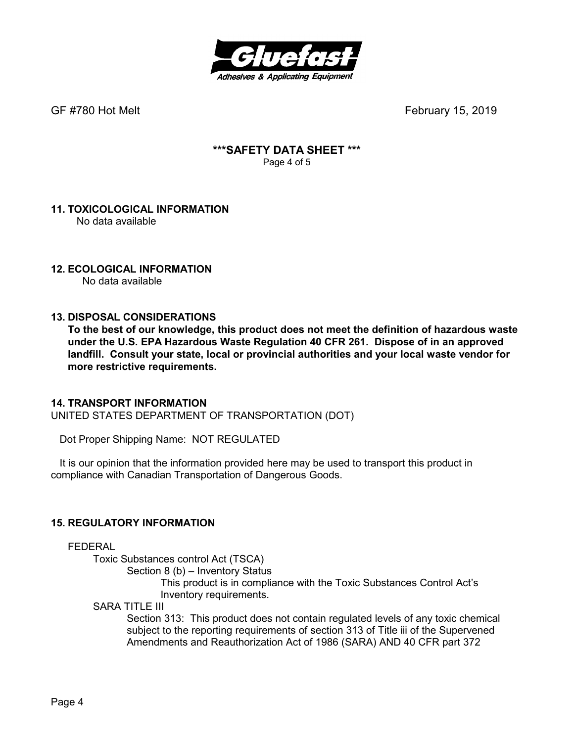

### **\*\*\*SAFETY DATA SHEET \*\*\***  Page 4 of 5

#### **11. TOXICOLOGICAL INFORMATION**  No data available

# **12. ECOLOGICAL INFORMATION**

No data available

#### **13. DISPOSAL CONSIDERATIONS**

**To the best of our knowledge, this product does not meet the definition of hazardous waste under the U.S. EPA Hazardous Waste Regulation 40 CFR 261. Dispose of in an approved landfill. Consult your state, local or provincial authorities and your local waste vendor for more restrictive requirements.** 

#### **14. TRANSPORT INFORMATION**

UNITED STATES DEPARTMENT OF TRANSPORTATION (DOT)

Dot Proper Shipping Name: NOT REGULATED

 It is our opinion that the information provided here may be used to transport this product in compliance with Canadian Transportation of Dangerous Goods.

# **15. REGULATORY INFORMATION**

FEDERAL

Toxic Substances control Act (TSCA)

Section 8 (b) – Inventory Status

 This product is in compliance with the Toxic Substances Control Act's Inventory requirements.

SARA TITLE III

Section 313: This product does not contain regulated levels of any toxic chemical subject to the reporting requirements of section 313 of Title iii of the Supervened Amendments and Reauthorization Act of 1986 (SARA) AND 40 CFR part 372